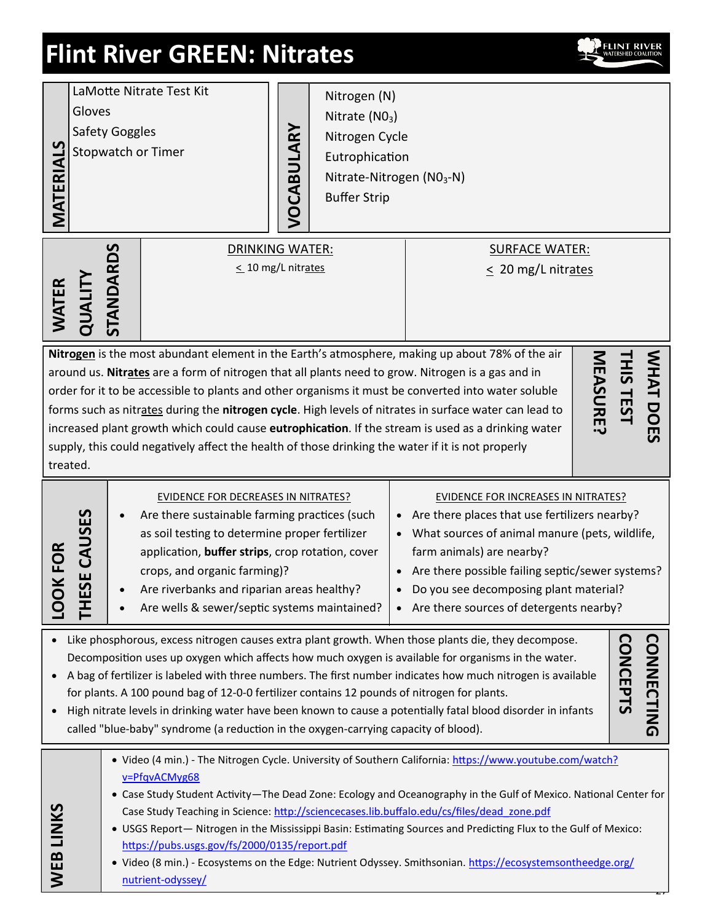# **Flint River GREEN: Nitrates**



| LaMotte Nitrate Test Kit<br>Gloves<br><b>Safety Goggles</b><br>MATERIALS<br>Stopwatch or Timer                                                                                                                                                                                                                                                                                                                                                                                                                                                                                                                                                                                                   |           | Nitrogen (N)<br>Nitrate $(NO3)$<br>VOCABULARY<br><b>Buffer Strip</b>                                                                                                                                                                                                                                                                                                                                                                                                                                                                                                                                                                                           | Nitrogen Cycle<br>Eutrophication<br>Nitrate-Nitrogen (NO <sub>3</sub> -N) |  |  |
|--------------------------------------------------------------------------------------------------------------------------------------------------------------------------------------------------------------------------------------------------------------------------------------------------------------------------------------------------------------------------------------------------------------------------------------------------------------------------------------------------------------------------------------------------------------------------------------------------------------------------------------------------------------------------------------------------|-----------|----------------------------------------------------------------------------------------------------------------------------------------------------------------------------------------------------------------------------------------------------------------------------------------------------------------------------------------------------------------------------------------------------------------------------------------------------------------------------------------------------------------------------------------------------------------------------------------------------------------------------------------------------------------|---------------------------------------------------------------------------|--|--|
| QUALITY<br><b>WATER</b>                                                                                                                                                                                                                                                                                                                                                                                                                                                                                                                                                                                                                                                                          | STANDARDS | <b>DRINKING WATER:</b><br>$\leq$ 10 mg/L nitrates                                                                                                                                                                                                                                                                                                                                                                                                                                                                                                                                                                                                              | <b>SURFACE WATER:</b><br>$\leq$ 20 mg/L nitrates                          |  |  |
| Nitrogen is the most abundant element in the Earth's atmosphere, making up about 78% of the air<br>WHAT DOES<br><b>MEASURE?</b><br><b>THIS TEST</b><br>around us. Nitrates are a form of nitrogen that all plants need to grow. Nitrogen is a gas and in<br>order for it to be accessible to plants and other organisms it must be converted into water soluble<br>forms such as nitrates during the nitrogen cycle. High levels of nitrates in surface water can lead to<br>increased plant growth which could cause eutrophication. If the stream is used as a drinking water<br>supply, this could negatively affect the health of those drinking the water if it is not properly<br>treated. |           |                                                                                                                                                                                                                                                                                                                                                                                                                                                                                                                                                                                                                                                                |                                                                           |  |  |
| SE CAUSES<br><b>JKFOR</b><br>곤                                                                                                                                                                                                                                                                                                                                                                                                                                                                                                                                                                                                                                                                   |           | EVIDENCE FOR DECREASES IN NITRATES?<br><b>EVIDENCE FOR INCREASES IN NITRATES?</b><br>Are there sustainable farming practices (such<br>Are there places that use fertilizers nearby?<br>$\bullet$<br>as soil testing to determine proper fertilizer<br>What sources of animal manure (pets, wildlife,<br>farm animals) are nearby?<br>application, buffer strips, crop rotation, cover<br>Are there possible failing septic/sewer systems?<br>crops, and organic farming)?<br>Are riverbanks and riparian areas healthy?<br>Do you see decomposing plant material?<br>Are wells & sewer/septic systems maintained?<br>• Are there sources of detergents nearby? |                                                                           |  |  |
| <b>CONNECTING</b><br>Like phosphorous, excess nitrogen causes extra plant growth. When those plants die, they decompose.<br><b>CONCEPTS</b><br>Decomposition uses up oxygen which affects how much oxygen is available for organisms in the water.<br>A bag of fertilizer is labeled with three numbers. The first number indicates how much nitrogen is available<br>for plants. A 100 pound bag of 12-0-0 fertilizer contains 12 pounds of nitrogen for plants.<br>High nitrate levels in drinking water have been known to cause a potentially fatal blood disorder in infants<br>called "blue-baby" syndrome (a reduction in the oxygen-carrying capacity of blood).                         |           |                                                                                                                                                                                                                                                                                                                                                                                                                                                                                                                                                                                                                                                                |                                                                           |  |  |
| . Video (4 min.) - The Nitrogen Cycle. University of Southern California: https://www.youtube.com/watch?<br>v=PfqvACMyg68<br>• Case Study Student Activity-The Dead Zone: Ecology and Oceanography in the Gulf of Mexico. National Center for<br>WEB LINKS<br>Case Study Teaching in Science: http://sciencecases.lib.buffalo.edu/cs/files/dead_zone.pdf<br>. USGS Report - Nitrogen in the Mississippi Basin: Estimating Sources and Predicting Flux to the Gulf of Mexico:<br>https://pubs.usgs.gov/fs/2000/0135/report.pdf<br>• Video (8 min.) - Ecosystems on the Edge: Nutrient Odyssey. Smithsonian. https://ecosystemsontheedge.org/<br>nutrient-odyssey/                                 |           |                                                                                                                                                                                                                                                                                                                                                                                                                                                                                                                                                                                                                                                                |                                                                           |  |  |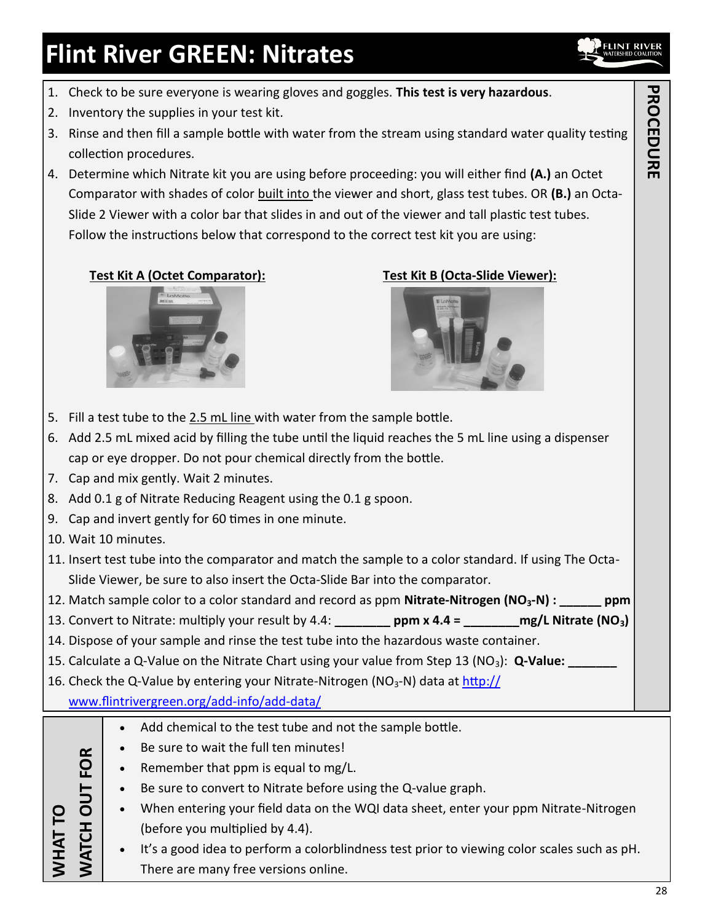# **Flint River GREEN: Nitrates**

- 1. Check to be sure everyone is wearing gloves and goggles. **This test is very hazardous**.
- 2. Inventory the supplies in your test kit.
- 3. Rinse and then fill a sample bottle with water from the stream using standard water quality testing collection procedures.
- 4. Determine which Nitrate kit you are using before proceeding: you will either find **(A.)** an Octet Comparator with shades of color built into the viewer and short, glass test tubes. OR **(B.)** an Octa-Slide 2 Viewer with a color bar that slides in and out of the viewer and tall plastic test tubes. Follow the instructions below that correspond to the correct test kit you are using:

## **Test Kit A (Octet Comparator): Test Kit B (Octa-Slide Viewer):**





- 5. Fill a test tube to the 2.5 mL line with water from the sample bottle.
- 6. Add 2.5 mL mixed acid by filling the tube until the liquid reaches the 5 mL line using a dispenser cap or eye dropper. Do not pour chemical directly from the bottle.
- 7. Cap and mix gently. Wait 2 minutes.
- 8. Add 0.1 g of Nitrate Reducing Reagent using the 0.1 g spoon.
- 9. Cap and invert gently for 60 times in one minute.
- 10. Wait 10 minutes.
- 11. Insert test tube into the comparator and match the sample to a color standard. If using The Octa-Slide Viewer, be sure to also insert the Octa-Slide Bar into the comparator.
- 12. Match sample color to a color standard and record as ppm **Nitrate-Nitrogen (NO3-N) : \_\_\_\_\_\_ ppm**
- 13. Convert to Nitrate: multiply your result by 4.4: **\_\_\_\_\_\_\_\_ ppm x 4.4 = \_\_\_\_\_\_\_\_mg/L Nitrate (NO3)**
- 14. Dispose of your sample and rinse the test tube into the hazardous waste container.
- 15. Calculate a Q-Value on the Nitrate Chart using your value from Step 13 (NO<sub>3</sub>): Q-Value:
- 16. Check the Q-Value by entering your Nitrate-Nitrogen ( $NO<sub>3</sub>$ -N) data at [http://](http://www.flintrivergreen.org/add-info/add-data/)
	- [www.flintrivergreen.org/add](http://www.flintrivergreen.org/add-info/add-data/)-info/add-data/

|                          |           | $\bullet$                                                                            | Add chemical to the test tube and not the sample bottle.                                    |  |  |
|--------------------------|-----------|--------------------------------------------------------------------------------------|---------------------------------------------------------------------------------------------|--|--|
| FOR<br><b>JUD</b><br>F E |           |                                                                                      | Be sure to wait the full ten minutes!                                                       |  |  |
|                          |           | $\bullet$                                                                            | Remember that ppm is equal to mg/L.                                                         |  |  |
|                          |           | $\bullet$                                                                            | Be sure to convert to Nitrate before using the Q-value graph.                               |  |  |
|                          | $\bullet$ | When entering your field data on the WQI data sheet, enter your ppm Nitrate-Nitrogen |                                                                                             |  |  |
|                          |           |                                                                                      | (before you multiplied by 4.4).                                                             |  |  |
|                          |           | $\bullet$                                                                            | It's a good idea to perform a colorblindness test prior to viewing color scales such as pH. |  |  |
|                          |           |                                                                                      | There are many free versions online.                                                        |  |  |

# **PROCEDURE PROCEDURE**